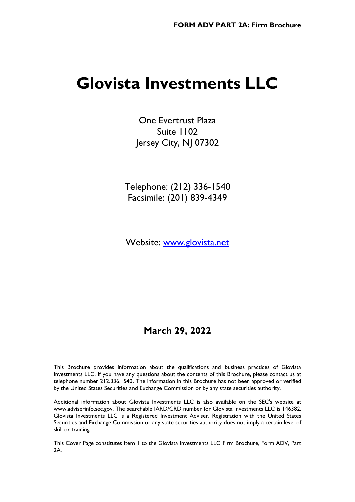# **Glovista Investments LLC**

One Evertrust Plaza Suite 1102 Jersey City, NJ 07302

Telephone: (212) 336-1540 Facsimile: (201) 839-4349

Website: [www.glovista.net](http://www.glovista.net/)

# **March 29, 2022**

This Brochure provides information about the qualifications and business practices of Glovista Investments LLC. If you have any questions about the contents of this Brochure, please contact us at telephone number 212.336.1540. The information in this Brochure has not been approved or verified by the United States Securities and Exchange Commission or by any state securities authority.

Additional information about Glovista Investments LLC is also available on the SEC's website at www.adviserinfo.sec.gov. The searchable IARD/CRD number for Glovista Investments LLC is 146382. Glovista Investments LLC is a Registered Investment Adviser. Registration with the United States Securities and Exchange Commission or any state securities authority does not imply a certain level of skill or training.

This Cover Page constitutes Item 1 to the Glovista Investments LLC Firm Brochure, Form ADV, Part 2A.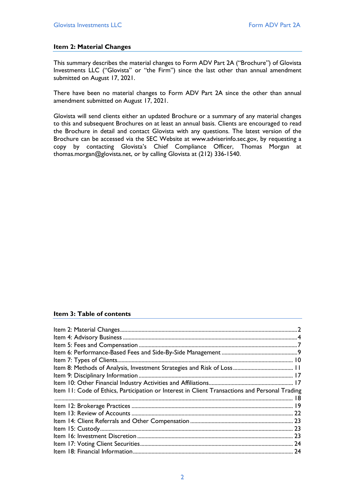# <span id="page-1-0"></span>**Item 2: Material Changes**

This summary describes the material changes to Form ADV Part 2A ("Brochure") of Glovista Investments LLC ("Glovista" or "the Firm") since the last other than annual amendment submitted on August 17, 2021.

There have been no material changes to Form ADV Part 2A since the other than annual amendment submitted on August 17, 2021.

Glovista will send clients either an updated Brochure or a summary of any material changes to this and subsequent Brochures on at least an annual basis. Clients are encouraged to read the Brochure in detail and contact Glovista with any questions. The latest version of the Brochure can be accessed via the SEC Website at www.adviserinfo.sec.gov, by requesting a copy by contacting Glovista's Chief Compliance Officer, Thomas Morgan at thomas.morgan@glovista.net, or by calling Glovista at (212) 336-1540.

#### **Item 3: Table of contents**

| Item 11: Code of Ethics, Participation or Interest in Client Transactions and Personal Trading |  |
|------------------------------------------------------------------------------------------------|--|
|                                                                                                |  |
|                                                                                                |  |
|                                                                                                |  |
|                                                                                                |  |
|                                                                                                |  |
|                                                                                                |  |
|                                                                                                |  |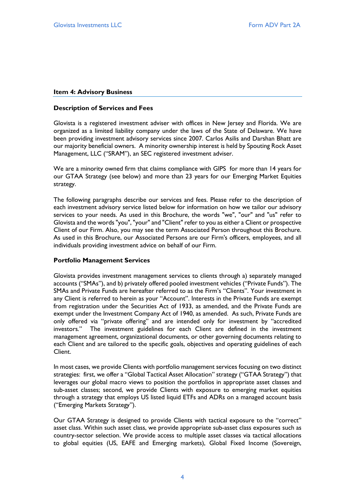#### <span id="page-3-0"></span>**Item 4: Advisory Business**

#### **Description of Services and Fees**

Glovista is a registered investment adviser with offices in New Jersey and Florida. We are organized as a limited liability company under the laws of the State of Delaware. We have been providing investment advisory services since 2007. Carlos Asilis and Darshan Bhatt are our majority beneficial owners. A minority ownership interest is held by Spouting Rock Asset Management, LLC ("SRAM"), an SEC registered investment adviser.

We are a minority owned firm that claims compliance with GIPS for more than 14 years for our GTAA Strategy (see below) and more than 23 years for our Emerging Market Equities strategy.

The following paragraphs describe our services and fees. Please refer to the description of each investment advisory service listed below for information on how we tailor our advisory services to your needs. As used in this Brochure, the words "we", "our" and "us" refer to Glovista and the words "you", "your" and "Client" refer to you as either a Client or prospective Client of our Firm. Also, you may see the term Associated Person throughout this Brochure. As used in this Brochure, our Associated Persons are our Firm's officers, employees, and all individuals providing investment advice on behalf of our Firm.

# **Portfolio Management Services**

Glovista provides investment management services to clients through a) separately managed accounts ("SMAs"), and b) privately offered pooled investment vehicles ("Private Funds"). The SMAs and Private Funds are hereafter referred to as the Firm's "Clients". Your investment in any Client is referred to herein as your "Account". Interests in the Private Funds are exempt from registration under the Securities Act of 1933, as amended, and the Private Funds are exempt under the Investment Company Act of 1940, as amended. As such, Private Funds are only offered via "private offering" and are intended only for investment by "accredited investors." The investment guidelines for each Client are defined in the investment management agreement, organizational documents, or other governing documents relating to each Client and are tailored to the specific goals, objectives and operating guidelines of each Client.

In most cases, we provide Clients with portfolio management services focusing on two distinct strategies: first, we offer a "Global Tactical Asset Allocation" strategy ("GTAA Strategy") that leverages our global macro views to position the portfolios in appropriate asset classes and sub-asset classes; second, we provide Clients with exposure to emerging market equities through a strategy that employs US listed liquid ETFs and ADRs on a managed account basis ("Emerging Markets Strategy").

Our GTAA Strategy is designed to provide Clients with tactical exposure to the "correct" asset class. Within such asset class, we provide appropriate sub-asset class exposures such as country-sector selection. We provide access to multiple asset classes via tactical allocations to global equities (US, EAFE and Emerging markets), Global Fixed Income (Sovereign,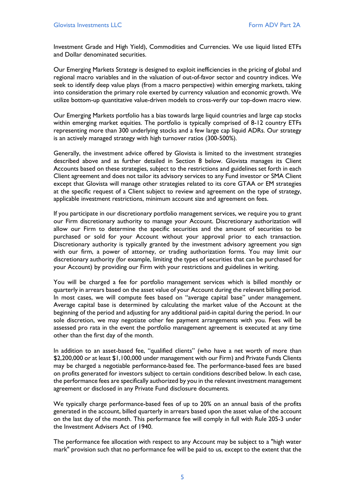Investment Grade and High Yield), Commodities and Currencies. We use liquid listed ETFs and Dollar denominated securities.

Our Emerging Markets Strategy is designed to exploit inefficiencies in the pricing of global and regional macro variables and in the valuation of out-of-favor sector and country indices. We seek to identify deep value plays (from a macro perspective) within emerging markets, taking into consideration the primary role exerted by currency valuation and economic growth. We utilize bottom-up quantitative value-driven models to cross-verify our top-down macro view.

Our Emerging Markets portfolio has a bias towards large liquid countries and large cap stocks within emerging market equities. The portfolio is typically comprised of 8-12 country ETFs representing more than 300 underlying stocks and a few large cap liquid ADRs. Our strategy is an actively managed strategy with high turnover ratios (300-500%).

Generally, the investment advice offered by Glovista is limited to the investment strategies described above and as further detailed in Section 8 below. Glovista manages its Client Accounts based on these strategies, subject to the restrictions and guidelines set forth in each Client agreement and does not tailor its advisory services to any Fund investor or SMA Client except that Glovista will manage other strategies related to its core GTAA or EM strategies at the specific request of a Client subject to review and agreement on the type of strategy, applicable investment restrictions, minimum account size and agreement on fees.

If you participate in our discretionary portfolio management services, we require you to grant our Firm discretionary authority to manage your Account. Discretionary authorization will allow our Firm to determine the specific securities and the amount of securities to be purchased or sold for your Account without your approval prior to each transaction. Discretionary authority is typically granted by the investment advisory agreement you sign with our firm, a power of attorney, or trading authorization forms. You may limit our discretionary authority (for example, limiting the types of securities that can be purchased for your Account) by providing our Firm with your restrictions and guidelines in writing.

You will be charged a fee for portfolio management services which is billed monthly or quarterly in arrears based on the asset value of your Account during the relevant billing period. In most cases, we will compute fees based on "average capital base" under management. Average capital base is determined by calculating the market value of the Account at the beginning of the period and adjusting for any additional paid-in capital during the period. In our sole discretion, we may negotiate other fee payment arrangements with you. Fees will be assessed pro rata in the event the portfolio management agreement is executed at any time other than the first day of the month.

In addition to an asset-based fee, "qualified clients" (who have a net worth of more than \$2,200,000 or at least \$1,100,000 under management with our Firm) and Private Funds Clients may be charged a negotiable performance-based fee. The performance-based fees are based on profits generated for investors subject to certain conditions described below. In each case, the performance fees are specifically authorized by you in the relevant investment management agreement or disclosed in any Private Fund disclosure documents.

We typically charge performance-based fees of up to 20% on an annual basis of the profits generated in the account, billed quarterly in arrears based upon the asset value of the account on the last day of the month. This performance fee will comply in full with Rule 205-3 under the Investment Advisers Act of 1940.

The performance fee allocation with respect to any Account may be subject to a "high water mark" provision such that no performance fee will be paid to us, except to the extent that the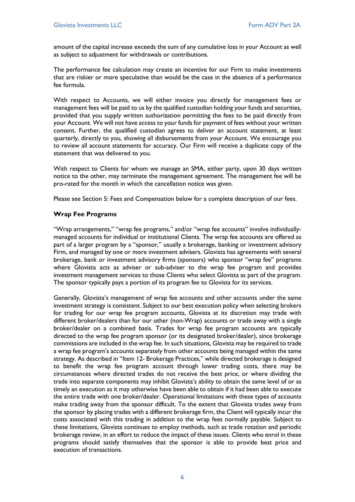amount of the capital increase exceeds the sum of any cumulative loss in your Account as well as subject to adjustment for withdrawals or contributions.

The performance fee calculation may create an incentive for our Firm to make investments that are riskier or more speculative than would be the case in the absence of a performance fee formula.

With respect to Accounts, we will either invoice you directly for management fees or management fees will be paid to us by the qualified custodian holding your funds and securities, provided that you supply written authorization permitting the fees to be paid directly from your Account. We will not have access to your funds for payment of fees without your written consent. Further, the qualified custodian agrees to deliver an account statement, at least quarterly, directly to you, showing all disbursements from your Account. We encourage you to review all account statements for accuracy. Our Firm will receive a duplicate copy of the statement that was delivered to you.

With respect to Clients for whom we manage an SMA, either party, upon 30 days written notice to the other, may terminate the management agreement. The management fee will be pro-rated for the month in which the cancellation notice was given.

Please see Section 5: Fees and Compensation below for a complete description of our fees.

# **Wrap Fee Programs**

"Wrap arrangements," "wrap fee programs," and/or "wrap fee accounts" involve individuallymanaged accounts for individual or institutional Clients. The wrap fee accounts are offered as part of a larger program by a "sponsor," usually a brokerage, banking or investment advisory Firm, and managed by one or more investment advisers. Glovista has agreements with several brokerage, bank or investment advisory firms (sponsors) who sponsor "wrap fee" programs where Glovista acts as adviser or sub-adviser to the wrap fee program and provides investment management services to those Clients who select Glovista as part of the program. The sponsor typically pays a portion of its program fee to Glovista for its services.

Generally, Glovista's management of wrap fee accounts and other accounts under the same investment strategy is consistent. Subject to our best execution policy when selecting brokers for trading for our wrap fee program accounts, Glovista at its discretion may trade with different broker/dealers than for our other (non-Wrap) accounts or trade away with a single broker/dealer on a combined basis. Trades for wrap fee program accounts are typically directed to the wrap fee program sponsor (or its designated broker/dealer), since brokerage commissions are included in the wrap fee. In such situations, Glovista may be required to trade a wrap fee program's accounts separately from other accounts being managed within the same strategy. As described in "Item 12- Brokerage Practices," while directed brokerage is designed to benefit the wrap fee program account through lower trading costs, there may be circumstances where directed trades do not receive the best price, or where dividing the trade into separate components may inhibit Glovista's ability to obtain the same level of or as timely an execution as it may otherwise have been able to obtain if it had been able to execute the entire trade with one broker/dealer. Operational limitations with these types of accounts make trading away from the sponsor difficult. To the extent that Glovista trades away from the sponsor by placing trades with a different brokerage firm, the Client will typically incur the costs associated with this trading in addition to the wrap fees normally payable. Subject to these limitations, Glovista continues to employ methods, such as trade rotation and periodic brokerage review, in an effort to reduce the impact of these issues. Clients who enrol in these programs should satisfy themselves that the sponsor is able to provide best price and execution of transactions.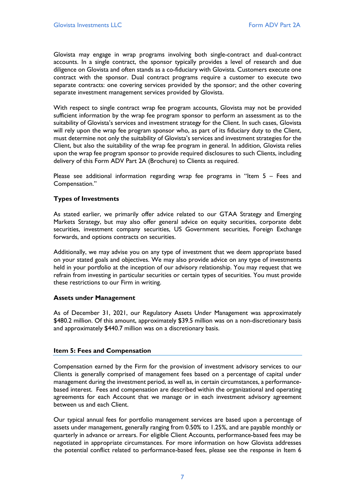Glovista may engage in wrap programs involving both single-contract and dual-contract accounts. In a single contract, the sponsor typically provides a level of research and due diligence on Glovista and often stands as a co-fiduciary with Glovista. Customers execute one contract with the sponsor. Dual contract programs require a customer to execute two separate contracts: one covering services provided by the sponsor; and the other covering separate investment management services provided by Glovista.

With respect to single contract wrap fee program accounts, Glovista may not be provided sufficient information by the wrap fee program sponsor to perform an assessment as to the suitability of Glovista's services and investment strategy for the Client. In such cases, Glovista will rely upon the wrap fee program sponsor who, as part of its fiduciary duty to the Client, must determine not only the suitability of Glovista's services and investment strategies for the Client, but also the suitability of the wrap fee program in general. In addition, Glovista relies upon the wrap fee program sponsor to provide required disclosures to such Clients, including delivery of this Form ADV Part 2A (Brochure) to Clients as required.

Please see additional information regarding wrap fee programs in "Item 5 – Fees and Compensation."

# **Types of Investments**

As stated earlier, we primarily offer advice related to our GTAA Strategy and Emerging Markets Strategy, but may also offer general advice on equity securities, corporate debt securities, investment company securities, US Government securities, Foreign Exchange forwards, and options contracts on securities.

Additionally, we may advise you on any type of investment that we deem appropriate based on your stated goals and objectives. We may also provide advice on any type of investments held in your portfolio at the inception of our advisory relationship. You may request that we refrain from investing in particular securities or certain types of securities. You must provide these restrictions to our Firm in writing.

#### **Assets under Management**

As of December 31, 2021, our Regulatory Assets Under Management was approximately \$480.2 million. Of this amount, approximately \$39.5 million was on a non-discretionary basis and approximately \$440.7 million was on a discretionary basis.

#### <span id="page-6-0"></span>**Item 5: Fees and Compensation**

Compensation earned by the Firm for the provision of investment advisory services to our Clients is generally comprised of management fees based on a percentage of capital under management during the investment period, as well as, in certain circumstances, a performancebased interest. Fees and compensation are described within the organizational and operating agreements for each Account that we manage or in each investment advisory agreement between us and each Client.

Our typical annual fees for portfolio management services are based upon a percentage of assets under management, generally ranging from 0.50% to 1.25%, and are payable monthly or quarterly in advance or arrears. For eligible Client Accounts, performance-based fees may be negotiated in appropriate circumstances. For more information on how Glovista addresses the potential conflict related to performance-based fees, please see the response in Item 6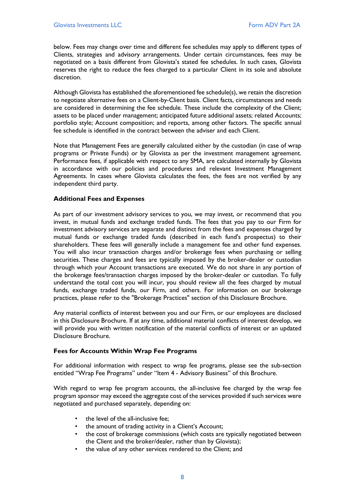below. Fees may change over time and different fee schedules may apply to different types of Clients, strategies and advisory arrangements. Under certain circumstances, fees may be negotiated on a basis different from Glovista's stated fee schedules. In such cases, Glovista reserves the right to reduce the fees charged to a particular Client in its sole and absolute discretion.

Although Glovista has established the aforementioned fee schedule(s), we retain the discretion to negotiate alternative fees on a Client-by-Client basis. Client facts, circumstances and needs are considered in determining the fee schedule. These include the complexity of the Client; assets to be placed under management; anticipated future additional assets; related Accounts; portfolio style; Account composition; and reports, among other factors. The specific annual fee schedule is identified in the contract between the adviser and each Client.

Note that Management Fees are generally calculated either by the custodian (in case of wrap programs or Private Funds) or by Glovista as per the investment management agreement. Performance fees, if applicable with respect to any SMA, are calculated internally by Glovista in accordance with our policies and procedures and relevant Investment Management Agreements. In cases where Glovista calculates the fees, the fees are not verified by any independent third party.

# **Additional Fees and Expenses**

As part of our investment advisory services to you, we may invest, or recommend that you invest, in mutual funds and exchange traded funds. The fees that you pay to our Firm for investment advisory services are separate and distinct from the fees and expenses charged by mutual funds or exchange traded funds (described in each fund's prospectus) to their shareholders. These fees will generally include a management fee and other fund expenses. You will also incur transaction charges and/or brokerage fees when purchasing or selling securities. These charges and fees are typically imposed by the broker-dealer or custodian through which your Account transactions are executed. We do not share in any portion of the brokerage fees/transaction charges imposed by the broker-dealer or custodian. To fully understand the total cost you will incur, you should review all the fees charged by mutual funds, exchange traded funds, our Firm, and others. For information on our brokerage practices, please refer to the "Brokerage Practices" section of this Disclosure Brochure.

Any material conflicts of interest between you and our Firm, or our employees are disclosed in this Disclosure Brochure. If at any time, additional material conflicts of interest develop, we will provide you with written notification of the material conflicts of interest or an updated Disclosure Brochure.

#### **Fees for Accounts Within Wrap Fee Programs**

For additional information with respect to wrap fee programs, please see the sub-section entitled "Wrap Fee Programs" under "Item 4 - Advisory Business" of this Brochure.

With regard to wrap fee program accounts, the all-inclusive fee charged by the wrap fee program sponsor may exceed the aggregate cost of the services provided if such services were negotiated and purchased separately, depending on:

- the level of the all-inclusive fee;
- the amount of trading activity in a Client's Account;
- the cost of brokerage commissions (which costs are typically negotiated between the Client and the broker/dealer, rather than by Glovista);
- the value of any other services rendered to the Client; and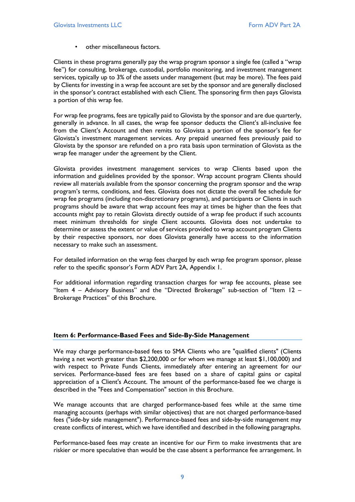• other miscellaneous factors.

Clients in these programs generally pay the wrap program sponsor a single fee (called a "wrap fee") for consulting, brokerage, custodial, portfolio monitoring, and investment management services, typically up to 3% of the assets under management (but may be more). The fees paid by Clients for investing in a wrap fee account are set by the sponsor and are generally disclosed in the sponsor's contract established with each Client. The sponsoring firm then pays Glovista a portion of this wrap fee.

For wrap fee programs, fees are typically paid to Glovista by the sponsor and are due quarterly, generally in advance. In all cases, the wrap fee sponsor deducts the Client's all-inclusive fee from the Client's Account and then remits to Glovista a portion of the sponsor's fee for Glovista's investment management services. Any prepaid unearned fees previously paid to Glovista by the sponsor are refunded on a pro rata basis upon termination of Glovista as the wrap fee manager under the agreement by the Client.

Glovista provides investment management services to wrap Clients based upon the information and guidelines provided by the sponsor. Wrap account program Clients should review all materials available from the sponsor concerning the program sponsor and the wrap program's terms, conditions, and fees. Glovista does not dictate the overall fee schedule for wrap fee programs (including non-discretionary programs), and participants or Clients in such programs should be aware that wrap account fees may at times be higher than the fees that accounts might pay to retain Glovista directly outside of a wrap fee product if such accounts meet minimum thresholds for single Client accounts. Glovista does not undertake to determine or assess the extent or value of services provided to wrap account program Clients by their respective sponsors, nor does Glovista generally have access to the information necessary to make such an assessment.

For detailed information on the wrap fees charged by each wrap fee program sponsor, please refer to the specific sponsor's Form ADV Part 2A, Appendix 1.

For additional information regarding transaction charges for wrap fee accounts, please see "Item  $4$  – Advisory Business" and the "Directed Brokerage" sub-section of "Item  $12$  – Brokerage Practices" of this Brochure.

#### <span id="page-8-0"></span>**Item 6: Performance-Based Fees and Side-By-Side Management**

We may charge performance-based fees to SMA Clients who are "qualified clients" (Clients having a net worth greater than \$2,200,000 or for whom we manage at least \$1,100,000) and with respect to Private Funds Clients, immediately after entering an agreement for our services. Performance-based fees are fees based on a share of capital gains or capital appreciation of a Client's Account. The amount of the performance-based fee we charge is described in the "Fees and Compensation" section in this Brochure.

We manage accounts that are charged performance-based fees while at the same time managing accounts (perhaps with similar objectives) that are not charged performance-based fees ("side-by side management"). Performance-based fees and side-by-side management may create conflicts of interest, which we have identified and described in the following paragraphs.

Performance-based fees may create an incentive for our Firm to make investments that are riskier or more speculative than would be the case absent a performance fee arrangement. In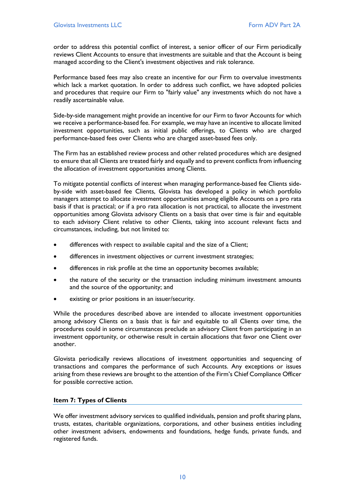order to address this potential conflict of interest, a senior officer of our Firm periodically reviews Client Accounts to ensure that investments are suitable and that the Account is being managed according to the Client's investment objectives and risk tolerance.

Performance based fees may also create an incentive for our Firm to overvalue investments which lack a market quotation. In order to address such conflict, we have adopted policies and procedures that require our Firm to "fairly value" any investments which do not have a readily ascertainable value.

Side-by-side management might provide an incentive for our Firm to favor Accounts for which we receive a performance-based fee. For example, we may have an incentive to allocate limited investment opportunities, such as initial public offerings, to Clients who are charged performance-based fees over Clients who are charged asset-based fees only.

The Firm has an established review process and other related procedures which are designed to ensure that all Clients are treated fairly and equally and to prevent conflicts from influencing the allocation of investment opportunities among Clients.

To mitigate potential conflicts of interest when managing performance-based fee Clients sideby-side with asset-based fee Clients, Glovista has developed a policy in which portfolio managers attempt to allocate investment opportunities among eligible Accounts on a pro rata basis if that is practical; or if a pro rata allocation is not practical, to allocate the investment opportunities among Glovista advisory Clients on a basis that over time is fair and equitable to each advisory Client relative to other Clients, taking into account relevant facts and circumstances, including, but not limited to:

- differences with respect to available capital and the size of a Client;
- differences in investment objectives or current investment strategies;
- differences in risk profile at the time an opportunity becomes available;
- the nature of the security or the transaction including minimum investment amounts and the source of the opportunity; and
- existing or prior positions in an issuer/security.

While the procedures described above are intended to allocate investment opportunities among advisory Clients on a basis that is fair and equitable to all Clients over time, the procedures could in some circumstances preclude an advisory Client from participating in an investment opportunity, or otherwise result in certain allocations that favor one Client over another.

Glovista periodically reviews allocations of investment opportunities and sequencing of transactions and compares the performance of such Accounts. Any exceptions or issues arising from these reviews are brought to the attention of the Firm's Chief Compliance Officer for possible corrective action.

# <span id="page-9-0"></span>**Item 7: Types of Clients**

We offer investment advisory services to qualified individuals, pension and profit sharing plans, trusts, estates, charitable organizations, corporations, and other business entities including other investment advisers, endowments and foundations, hedge funds, private funds, and registered funds.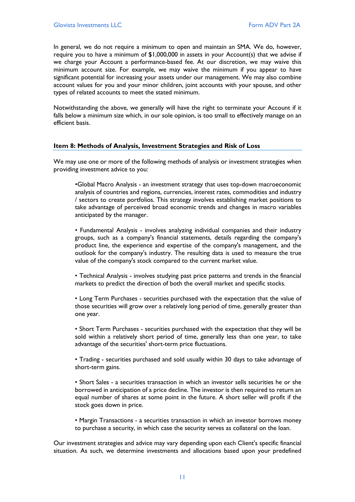In general, we do not require a minimum to open and maintain an SMA. We do, however, require you to have a minimum of \$1,000,000 in assets in your Account(s) that we advise if we charge your Account a performance-based fee. At our discretion, we may waive this minimum account size. For example, we may waive the minimum if you appear to have significant potential for increasing your assets under our management. We may also combine account values for you and your minor children, joint accounts with your spouse, and other types of related accounts to meet the stated minimum.

Notwithstanding the above, we generally will have the right to terminate your Account if it falls below a minimum size which, in our sole opinion, is too small to effectively manage on an efficient basis.

# <span id="page-10-0"></span>**Item 8: Methods of Analysis, Investment Strategies and Risk of Loss**

We may use one or more of the following methods of analysis or investment strategies when providing investment advice to you:

•Global Macro Analysis - an investment strategy that uses top-down macroeconomic analysis of countries and regions, currencies, interest rates, commodities and industry / sectors to create portfolios. This strategy involves establishing market positions to take advantage of perceived broad economic trends and changes in macro variables anticipated by the manager.

• Fundamental Analysis - involves analyzing individual companies and their industry groups, such as a company's financial statements, details regarding the company's product line, the experience and expertise of the company's management, and the outlook for the company's industry. The resulting data is used to measure the true value of the company's stock compared to the current market value.

• Technical Analysis - involves studying past price patterns and trends in the financial markets to predict the direction of both the overall market and specific stocks.

• Long Term Purchases - securities purchased with the expectation that the value of those securities will grow over a relatively long period of time, generally greater than one year.

• Short Term Purchases - securities purchased with the expectation that they will be sold within a relatively short period of time, generally less than one year, to take advantage of the securities' short-term price fluctuations.

• Trading - securities purchased and sold usually within 30 days to take advantage of short-term gains.

• Short Sales - a securities transaction in which an investor sells securities he or she borrowed in anticipation of a price decline. The investor is then required to return an equal number of shares at some point in the future. A short seller will profit if the stock goes down in price.

• Margin Transactions - a securities transaction in which an investor borrows money to purchase a security, in which case the security serves as collateral on the loan.

Our investment strategies and advice may vary depending upon each Client's specific financial situation. As such, we determine investments and allocations based upon your predefined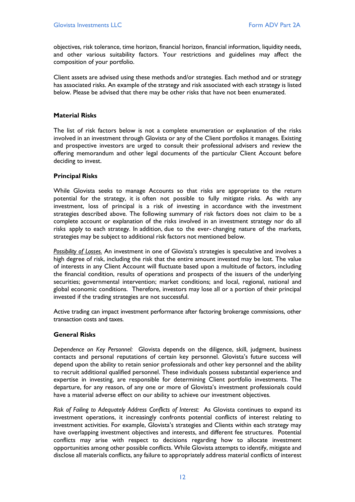objectives, risk tolerance, time horizon, financial horizon, financial information, liquidity needs, and other various suitability factors. Your restrictions and guidelines may affect the composition of your portfolio.

Client assets are advised using these methods and/or strategies. Each method and or strategy has associated risks. An example of the strategy and risk associated with each strategy is listed below. Please be advised that there may be other risks that have not been enumerated.

# **Material Risks**

The list of risk factors below is not a complete enumeration or explanation of the risks involved in an investment through Glovista or any of the Client portfolios it manages. Existing and prospective investors are urged to consult their professional advisers and review the offering memorandum and other legal documents of the particular Client Account before deciding to invest.

# **Principal Risks**

While Glovista seeks to manage Accounts so that risks are appropriate to the return potential for the strategy, it is often not possible to fully mitigate risks. As with any investment, loss of principal is a risk of investing in accordance with the investment strategies described above. The following summary of risk factors does not claim to be a complete account or explanation of the risks involved in an investment strategy nor do all risks apply to each strategy. In addition, due to the ever- changing nature of the markets, strategies may be subject to additional risk factors not mentioned below.

*Possibility of Losses.* An investment in one of Glovista's strategies is speculative and involves a high degree of risk, including the risk that the entire amount invested may be lost. The value of interests in any Client Account will fluctuate based upon a multitude of factors, including the financial condition, results of operations and prospects of the issuers of the underlying securities; governmental intervention; market conditions; and local, regional, national and global economic conditions. Therefore, investors may lose all or a portion of their principal invested if the trading strategies are not successful.

Active trading can impact investment performance after factoring brokerage commissions, other transaction costs and taxes.

# **General Risks**

*Dependence on Key Personnel:* Glovista depends on the diligence, skill, judgment, business contacts and personal reputations of certain key personnel. Glovista's future success will depend upon the ability to retain senior professionals and other key personnel and the ability to recruit additional qualified personnel. These individuals possess substantial experience and expertise in investing, are responsible for determining Client portfolio investments. The departure, for any reason, of any one or more of Glovista's investment professionals could have a material adverse effect on our ability to achieve our investment objectives.

*Risk of Failing to Adequately Address Conflicts of Interest:* As Glovista continues to expand its investment operations, it increasingly confronts potential conflicts of interest relating to investment activities. For example, Glovista's strategies and Clients within each strategy may have overlapping investment objectives and interests, and different fee structures. Potential conflicts may arise with respect to decisions regarding how to allocate investment opportunities among other possible conflicts. While Glovista attempts to identify, mitigate and disclose all materials conflicts, any failure to appropriately address material conflicts of interest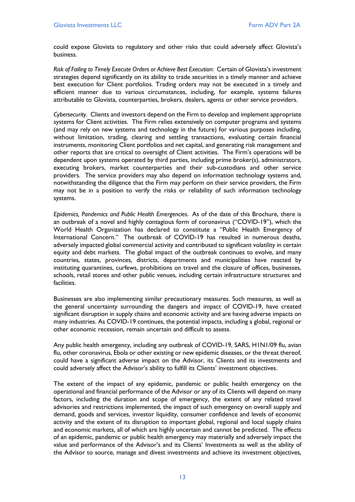could expose Glovista to regulatory and other risks that could adversely affect Glovista's business.

*Risk of Failing to Timely Execute Orders or Achieve Best Execution*: Certain of Glovista's investment strategies depend significantly on its ability to trade securities in a timely manner and achieve best execution for Client portfolios. Trading orders may not be executed in a timely and efficient manner due to various circumstances, including, for example, systems failures attributable to Glovista, counterparties, brokers, dealers, agents or other service providers.

*Cybersecurity*. Clients and investors depend on the Firm to develop and implement appropriate systems for Client activities. The Firm relies extensively on computer programs and systems (and may rely on new systems and technology in the future) for various purposes including, without limitation, trading, clearing and settling transactions, evaluating certain financial instruments, monitoring Client portfolios and net capital, and generating risk management and other reports that are critical to oversight of Client activities. The Firm's operations will be dependent upon systems operated by third parties, including prime broker(s), administrators, executing brokers, market counterparties and their sub-custodians and other service providers. The service providers may also depend on information technology systems and, notwithstanding the diligence that the Firm may perform on their service providers, the Firm may not be in a position to verify the risks or reliability of such information technology systems.

*Epidemics, Pandemics and Public Health Emergencies*. As of the date of this Brochure, there is an outbreak of a novel and highly contagious form of coronavirus ("COVID-19"), which the World Health Organization has declared to constitute a "Public Health Emergency of International Concern." The outbreak of COVID-19 has resulted in numerous deaths, adversely impacted global commercial activity and contributed to significant volatility in certain equity and debt markets. The global impact of the outbreak continues to evolve, and many countries, states, provinces, districts, departments and municipalities have reacted by instituting quarantines, curfews, prohibitions on travel and the closure of offices, businesses, schools, retail stores and other public venues, including certain infrastructure structures and facilities.

Businesses are also implementing similar precautionary measures. Such measures, as well as the general uncertainty surrounding the dangers and impact of COVID-19, have created significant disruption in supply chains and economic activity and are having adverse impacts on many industries. As COVID-19 continues, the potential impacts, including a global, regional or other economic recession, remain uncertain and difficult to assess.

Any public health emergency, including any outbreak of COVID-19, SARS, H1N1/09 flu, avian flu, other coronavirus, Ebola or other existing or new epidemic diseases, or the threat thereof, could have a significant adverse impact on the Advisor, its Clients and its investments and could adversely affect the Advisor's ability to fulfill its Clients' investment objectives.

The extent of the impact of any epidemic, pandemic or public health emergency on the operational and financial performance of the Advisor or any of its Clients will depend on many factors, including the duration and scope of emergency, the extent of any related travel advisories and restrictions implemented, the impact of such emergency on overall supply and demand, goods and services, investor liquidity, consumer confidence and levels of economic activity and the extent of its disruption to important global, regional and local supply chains and economic markets, all of which are highly uncertain and cannot be predicted. The effects of an epidemic, pandemic or public health emergency may materially and adversely impact the value and performance of the Advisor's and its Clients' Investments as well as the ability of the Advisor to source, manage and divest investments and achieve its investment objectives,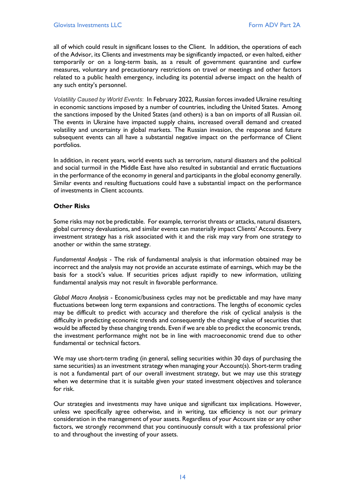all of which could result in significant losses to the Client. In addition, the operations of each of the Advisor, its Clients and investments may be significantly impacted, or even halted, either temporarily or on a long-term basis, as a result of government quarantine and curfew measures, voluntary and precautionary restrictions on travel or meetings and other factors related to a public health emergency, including its potential adverse impact on the health of any such entity's personnel.

*Volatility Caused by World Events*: In February 2022, Russian forces invaded Ukraine resulting in economic sanctions imposed by a number of countries, including the United States. Among the sanctions imposed by the United States (and others) is a ban on imports of all Russian oil. The events in Ukraine have impacted supply chains, increased overall demand and created volatility and uncertainty in global markets. The Russian invasion, the response and future subsequent events can all have a substantial negative impact on the performance of Client portfolios.

In addition, in recent years, world events such as terrorism, natural disasters and the political and social turmoil in the Middle East have also resulted in substantial and erratic fluctuations in the performance of the economy in general and participants in the global economy generally. Similar events and resulting fluctuations could have a substantial impact on the performance of investments in Client accounts.

# **Other Risks**

Some risks may not be predictable. For example, terrorist threats or attacks, natural disasters, global currency devaluations, and similar events can materially impact Clients' Accounts. Every investment strategy has a risk associated with it and the risk may vary from one strategy to another or within the same strategy.

*Fundamental Analysis* - The risk of fundamental analysis is that information obtained may be incorrect and the analysis may not provide an accurate estimate of earnings, which may be the basis for a stock's value. If securities prices adjust rapidly to new information, utilizing fundamental analysis may not result in favorable performance.

*Global Macro Analysis* - Economic/business cycles may not be predictable and may have many fluctuations between long term expansions and contractions. The lengths of economic cycles may be difficult to predict with accuracy and therefore the risk of cyclical analysis is the difficulty in predicting economic trends and consequently the changing value of securities that would be affected by these changing trends. Even if we are able to predict the economic trends, the investment performance might not be in line with macroeconomic trend due to other fundamental or technical factors.

We may use short-term trading (in general, selling securities within 30 days of purchasing the same securities) as an investment strategy when managing your Account(s). Short-term trading is not a fundamental part of our overall investment strategy, but we may use this strategy when we determine that it is suitable given your stated investment objectives and tolerance for risk.

Our strategies and investments may have unique and significant tax implications. However, unless we specifically agree otherwise, and in writing, tax efficiency is not our primary consideration in the management of your assets. Regardless of your Account size or any other factors, we strongly recommend that you continuously consult with a tax professional prior to and throughout the investing of your assets.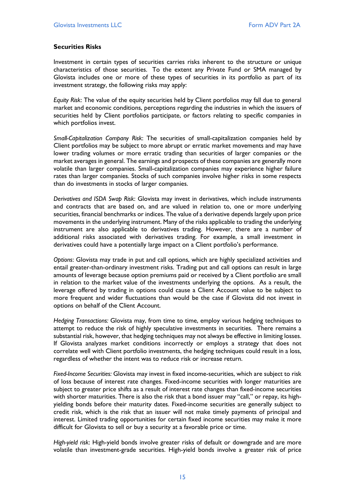# **Securities Risks**

Investment in certain types of securities carries risks inherent to the structure or unique characteristics of those securities. To the extent any Private Fund or SMA managed by Glovista includes one or more of these types of securities in its portfolio as part of its investment strategy, the following risks may apply:

*Equity Risk*: The value of the equity securities held by Client portfolios may fall due to general market and economic conditions, perceptions regarding the industries in which the issuers of securities held by Client portfolios participate, or factors relating to specific companies in which portfolios invest.

*Small-Capitalization Company Risk*: The securities of small-capitalization companies held by Client portfolios may be subject to more abrupt or erratic market movements and may have lower trading volumes or more erratic trading than securities of larger companies or the market averages in general. The earnings and prospects of these companies are generally more volatile than larger companies. Small-capitalization companies may experience higher failure rates than larger companies. Stocks of such companies involve higher risks in some respects than do investments in stocks of larger companies.

*Derivatives and ISDA Swap Risk*: Glovista may invest in derivatives, which include instruments and contracts that are based on, and are valued in relation to, one or more underlying securities, financial benchmarks or indices. The value of a derivative depends largely upon price movements in the underlying instrument. Many of the risks applicable to trading the underlying instrument are also applicable to derivatives trading. However, there are a number of additional risks associated with derivatives trading. For example, a small investment in derivatives could have a potentially large impact on a Client portfolio's performance.

*Options*: Glovista may trade in put and call options, which are highly specialized activities and entail greater-than-ordinary investment risks. Trading put and call options can result in large amounts of leverage because option premiums paid or received by a Client portfolio are small in relation to the market value of the investments underlying the options. As a result, the leverage offered by trading in options could cause a Client Account value to be subject to more frequent and wider fluctuations than would be the case if Glovista did not invest in options on behalf of the Client Account.

*Hedging Transactions:* Glovista may, from time to time, employ various hedging techniques to attempt to reduce the risk of highly speculative investments in securities. There remains a substantial risk, however, that hedging techniques may not always be effective in limiting losses. If Glovista analyzes market conditions incorrectly or employs a strategy that does not correlate well with Client portfolio investments, the hedging techniques could result in a loss, regardless of whether the intent was to reduce risk or increase return.

*Fixed-Income Securities:* Glovista may invest in fixed income-securities, which are subject to risk of loss because of interest rate changes. Fixed-income securities with longer maturities are subject to greater price shifts as a result of interest rate changes than fixed-income securities with shorter maturities. There is also the risk that a bond issuer may "call," or repay, its highyielding bonds before their maturity dates. Fixed-income securities are generally subject to credit risk, which is the risk that an issuer will not make timely payments of principal and interest. Limited trading opportunities for certain fixed income securities may make it more difficult for Glovista to sell or buy a security at a favorable price or time.

*High-yield risk*: High-yield bonds involve greater risks of default or downgrade and are more volatile than investment-grade securities. High-yield bonds involve a greater risk of price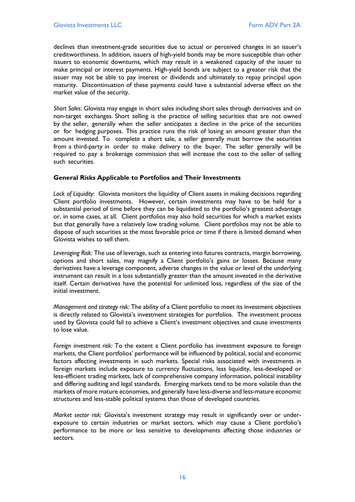declines than investment-grade securities due to actual or perceived changes in an issuer's creditworthiness. In addition, issuers of high-yield bonds may be more susceptible than other issuers to economic downturns, which may result in a weakened capacity of the issuer to make principal or interest payments. High-yield bonds are subject to a greater risk that the issuer may not be able to pay interest or dividends and ultimately to repay principal upon maturity. Discontinuation of these payments could have a substantial adverse effect on the market value of the security.

*Short Sales*: Glovista may engage in short sales including short sales through derivatives and on non-target exchanges. Short selling is the practice of selling securities that are not owned by the seller, generally when the seller anticipates a decline in the price of the securities or for hedging purposes. This practice runs the risk of losing an amount greater than the amount invested. To complete a short sale, a seller generally must borrow the securities from a third-party in order to make delivery to the buyer. The seller generally will be required to pay a brokerage commission that will increase the cost to the seller of selling such securities.

# **General Risks Applicable to Portfolios and Their Investments**

*Lack of Liquidity*: Glovista monitors the liquidity of Client assets in making decisions regarding Client portfolio investments. However, certain investments may have to be held for a substantial period of time before they can be liquidated to the portfolio's greatest advantage or, in some cases, at all. Client portfolios may also hold securities for which a market exists but that generally have a relatively low trading volume. Client portfolios may not be able to dispose of such securities at the most favorable price or time if there is limited demand when Glovista wishes to sell them.

*Leveraging Risk:* The use of leverage, such as entering into futures contracts, margin borrowing, options and short sales, may magnify a Client portfolio's gains or losses. Because many derivatives have a leverage component, adverse changes in the value or level of the underlying instrument can result in a loss substantially greater than the amount invested in the derivative itself. Certain derivatives have the potential for unlimited loss, regardless of the size of the initial investment.

*Management and strategy risk:* The ability of a Client portfolio to meet its investment objectives is directly related to Glovista's investment strategies for portfolios. The investment process used by Glovista could fail to achieve a Client's investment objectives and cause investments to lose value.

*Foreign investment risk:* To the extent a Client portfolio has investment exposure to foreign markets, the Client portfolios' performance will be influenced by political, social and economic factors affecting investments in such markets. Special risks associated with investments in foreign markets include exposure to currency fluctuations, less liquidity, less-developed or less-efficient trading markets, lack of comprehensive company information, political instability and differing auditing and legal standards. Emerging markets tend to be more volatile than the markets of more mature economies, and generally have less-diverse and less-mature economic structures and less-stable political systems than those of developed countries.

*Market sector risk:* Glovista's investment strategy may result in significantly over or underexposure to certain industries or market sectors, which may cause a Client portfolio's performance to be more or less sensitive to developments affecting those industries or sectors.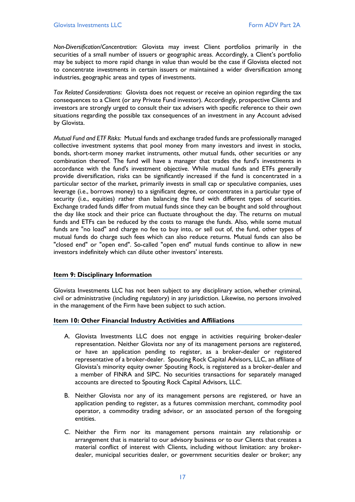*Non-Diversification/Concentration*: Glovista may invest Client portfolios primarily in the securities of a small number of issuers or geographic areas. Accordingly, a Client's portfolio may be subject to more rapid change in value than would be the case if Glovista elected not to concentrate investments in certain issuers or maintained a wider diversification among industries, geographic areas and types of investments.

*Tax Related Considerations*: Glovista does not request or receive an opinion regarding the tax consequences to a Client (or any Private Fund investor). Accordingly, prospective Clients and investors are strongly urged to consult their tax advisers with specific reference to their own situations regarding the possible tax consequences of an investment in any Account advised by Glovista.

*Mutual Fund and ETF Risks*: Mutual funds and exchange traded funds are professionally managed collective investment systems that pool money from many investors and invest in stocks, bonds, short-term money market instruments, other mutual funds, other securities or any combination thereof. The fund will have a manager that trades the fund's investments in accordance with the fund's investment objective. While mutual funds and ETFs generally provide diversification, risks can be significantly increased if the fund is concentrated in a particular sector of the market, primarily invests in small cap or speculative companies, uses leverage (i.e., borrows money) to a significant degree, or concentrates in a particular type of security (i.e., equities) rather than balancing the fund with different types of securities. Exchange traded funds differ from mutual funds since they can be bought and sold throughout the day like stock and their price can fluctuate throughout the day. The returns on mutual funds and ETFs can be reduced by the costs to manage the funds. Also, while some mutual funds are "no load" and charge no fee to buy into, or sell out of, the fund, other types of mutual funds do charge such fees which can also reduce returns. Mutual funds can also be "closed end" or "open end". So-called "open end" mutual funds continue to allow in new investors indefinitely which can dilute other investors' interests.

# <span id="page-16-0"></span>**Item 9: Disciplinary Information**

Glovista Investments LLC has not been subject to any disciplinary action, whether criminal, civil or administrative (including regulatory) in any jurisdiction. Likewise, no persons involved in the management of the Firm have been subject to such action.

# <span id="page-16-1"></span>**Item 10: Other Financial Industry Activities and Affiliations**

- A. Glovista Investments LLC does not engage in activities requiring broker-dealer representation. Neither Glovista nor any of its management persons are registered, or have an application pending to register, as a broker-dealer or registered representative of a broker-dealer. Spouting Rock Capital Advisors, LLC, an affiliate of Glovista's minority equity owner Spouting Rock, is registered as a broker-dealer and a member of FINRA and SIPC. No securities transactions for separately managed accounts are directed to Spouting Rock Capital Advisors, LLC.
- B. Neither Glovista nor any of its management persons are registered, or have an application pending to register, as a futures commission merchant, commodity pool operator, a commodity trading advisor, or an associated person of the foregoing entities.
- C. Neither the Firm nor its management persons maintain any relationship or arrangement that is material to our advisory business or to our Clients that creates a material conflict of interest with Clients, including without limitation: any brokerdealer, municipal securities dealer, or government securities dealer or broker; any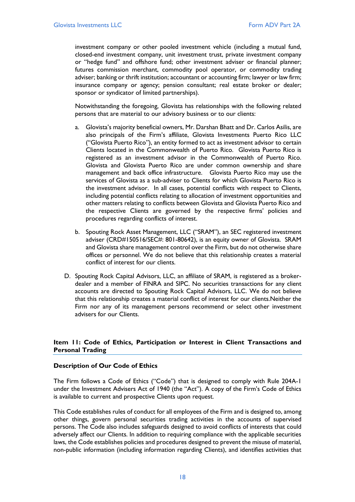investment company or other pooled investment vehicle (including a mutual fund, closed-end investment company, unit investment trust, private investment company or "hedge fund" and offshore fund; other investment adviser or financial planner; futures commission merchant, commodity pool operator, or commodity trading adviser; banking or thrift institution; accountant or accounting firm; lawyer or law firm; insurance company or agency; pension consultant; real estate broker or dealer; sponsor or syndicator of limited partnerships).

Notwithstanding the foregoing, Glovista has relationships with the following related persons that are material to our advisory business or to our clients:

- a. Glovista's majority beneficial owners, Mr. Darshan Bhatt and Dr. Carlos Asilis, are also principals of the Firm's affiliate, Glovista Investments Puerto Rico LLC ("Glovista Puerto Rico"), an entity formed to act as investment advisor to certain Clients located in the Commonwealth of Puerto Rico. Glovista Puerto Rico is registered as an investment advisor in the Commonwealth of Puerto Rico. Glovista and Glovista Puerto Rico are under common ownership and share management and back office infrastructure. Glovista Puerto Rico may use the services of Glovista as a sub-adviser to Clients for which Glovista Puerto Rico is the investment advisor. In all cases, potential conflicts with respect to Clients, including potential conflicts relating to allocation of investment opportunities and other matters relating to conflicts between Glovista and Glovista Puerto Rico and the respective Clients are governed by the respective firms' policies and procedures regarding conflicts of interest.
- b. Spouting Rock Asset Management, LLC ("SRAM"), an SEC registered investment adviser (CRD#150516/SEC#: 801-80642), is an equity owner of Glovista. SRAM and Glovista share management control over the Firm, but do not otherwise share offices or personnel. We do not believe that this relationship creates a material conflict of interest for our clients.
- D. Spouting Rock Capital Advisors, LLC, an affiliate of SRAM, is registered as a brokerdealer and a member of FINRA and SIPC. No securities transactions for any client accounts are directed to Spouting Rock Capital Advisors, LLC. We do not believe that this relationship creates a material conflict of interest for our clients.Neither the Firm nor any of its management persons recommend or select other investment advisers for our Clients.

# <span id="page-17-0"></span>**Item 11: Code of Ethics, Participation or Interest in Client Transactions and Personal Trading**

# **Description of Our Code of Ethics**

The Firm follows a Code of Ethics ("Code") that is designed to comply with Rule 204A-1 under the Investment Advisers Act of 1940 (the "Act"). A copy of the Firm's Code of Ethics is available to current and prospective Clients upon request.

This Code establishes rules of conduct for all employees of the Firm and is designed to, among other things, govern personal securities trading activities in the accounts of supervised persons. The Code also includes safeguards designed to avoid conflicts of interests that could adversely affect our Clients. In addition to requiring compliance with the applicable securities laws, the Code establishes policies and procedures designed to prevent the misuse of material, non-public information (including information regarding Clients), and identifies activities that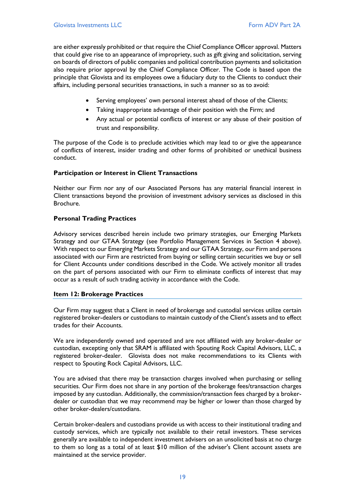are either expressly prohibited or that require the Chief Compliance Officer approval. Matters that could give rise to an appearance of impropriety, such as gift giving and solicitation, serving on boards of directors of public companies and political contribution payments and solicitation also require prior approval by the Chief Compliance Officer. The Code is based upon the principle that Glovista and its employees owe a fiduciary duty to the Clients to conduct their affairs, including personal securities transactions, in such a manner so as to avoid:

- Serving employees' own personal interest ahead of those of the Clients;
- Taking inappropriate advantage of their position with the Firm; and
- Any actual or potential conflicts of interest or any abuse of their position of trust and responsibility.

The purpose of the Code is to preclude activities which may lead to or give the appearance of conflicts of interest, insider trading and other forms of prohibited or unethical business conduct.

# **Participation or Interest in Client Transactions**

Neither our Firm nor any of our Associated Persons has any material financial interest in Client transactions beyond the provision of investment advisory services as disclosed in this Brochure.

# **Personal Trading Practices**

Advisory services described herein include two primary strategies, our Emerging Markets Strategy and our GTAA Strategy (see Portfolio Management Services in Section 4 above). With respect to our Emerging Markets Strategy and our GTAA Strategy, our Firm and persons associated with our Firm are restricted from buying or selling certain securities we buy or sell for Client Accounts under conditions described in the Code. We actively monitor all trades on the part of persons associated with our Firm to eliminate conflicts of interest that may occur as a result of such trading activity in accordance with the Code.

# <span id="page-18-0"></span>**Item 12: Brokerage Practices**

Our Firm may suggest that a Client in need of brokerage and custodial services utilize certain registered broker-dealers or custodians to maintain custody of the Client's assets and to effect trades for their Accounts.

We are independently owned and operated and are not affiliated with any broker-dealer or custodian, excepting only that SRAM is affiliated with Spouting Rock Capital Advisors, LLC, a registered broker-dealer. Glovista does not make recommendations to its Clients with respect to Spouting Rock Capital Advisors, LLC.

You are advised that there may be transaction charges involved when purchasing or selling securities. Our Firm does not share in any portion of the brokerage fees/transaction charges imposed by any custodian. Additionally, the commission/transaction fees charged by a brokerdealer or custodian that we may recommend may be higher or lower than those charged by other broker-dealers/custodians.

Certain broker-dealers and custodians provide us with access to their institutional trading and custody services, which are typically not available to their retail investors. These services generally are available to independent investment advisers on an unsolicited basis at no charge to them so long as a total of at least \$10 million of the adviser's Client account assets are maintained at the service provider.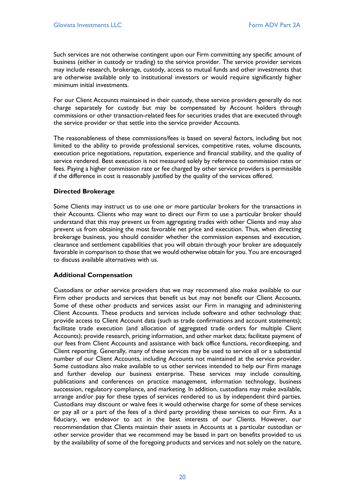Such services are not otherwise contingent upon our Firm committing any specific amount of business (either in custody or trading) to the service provider. The service provider services may include research, brokerage, custody, access to mutual funds and other investments that are otherwise available only to institutional investors or would require significantly higher minimum initial investments.

For our Client Accounts maintained in their custody, these service providers generally do not charge separately for custody but may be compensated by Account holders through commissions or other transaction-related fees for securities trades that are executed through the service provider or that settle into the service provider Accounts.

The reasonableness of these commissions/fees is based on several factors, including but not limited to the ability to provide professional services, competitive rates, volume discounts, execution price negotiations, reputation, experience and financial stability, and the quality of service rendered. Best execution is not measured solely by reference to commission rates or fees. Paying a higher commission rate or fee charged by other service providers is permissible if the difference in cost is reasonably justified by the quality of the services offered.

# **Directed Brokerage**

Some Clients may instruct us to use one or more particular brokers for the transactions in their Accounts. Clients who may want to direct our Firm to use a particular broker should understand that this may prevent us from aggregating trades with other Clients and may also prevent us from obtaining the most favorable net price and execution. Thus, when directing brokerage business, you should consider whether the commission expenses and execution, clearance and settlement capabilities that you will obtain through your broker are adequately favorable in comparison to those that we would otherwise obtain for you. You are encouraged to discuss available alternatives with us.

# **Additional Compensation**

Custodians or other service providers that we may recommend also make available to our Firm other products and services that benefit us but may not benefit our Client Accounts. Some of these other products and services assist our Firm in managing and administering Client Accounts. These products and services include software and other technology that: provide access to Client Account data (such as trade confirmations and account statements); facilitate trade execution (and allocation of aggregated trade orders for multiple Client Accounts); provide research, pricing information, and other market data; facilitate payment of our fees from Client Accounts and assistance with back office functions, recordkeeping, and Client reporting. Generally, many of these services may be used to service all or a substantial number of our Client Accounts, including Accounts not maintained at the service provider. Some custodians also make available to us other services intended to help our Firm manage and further develop our business enterprise. These services may include consulting, publications and conferences on practice management, information technology, business succession, regulatory compliance, and marketing. In addition, custodians may make available, arrange and/or pay for these types of services rendered to us by independent third parties. Custodians may discount or waive fees it would otherwise charge for some of these services or pay all or a part of the fees of a third party providing these services to our Firm. As a fiduciary, we endeavor to act in the best interests of our Clients. However, our recommendation that Clients maintain their assets in Accounts at a particular custodian or other service provider that we recommend may be based in part on benefits provided to us by the availability of some of the foregoing products and services and not solely on the nature,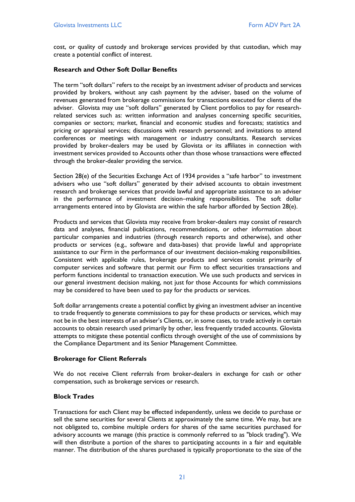cost, or quality of custody and brokerage services provided by that custodian, which may create a potential conflict of interest.

# **Research and Other Soft Dollar Benefits**

The term "soft dollars" refers to the receipt by an investment adviser of products and services provided by brokers, without any cash payment by the adviser, based on the volume of revenues generated from brokerage commissions for transactions executed for clients of the adviser. Glovista may use "soft dollars" generated by Client portfolios to pay for researchrelated services such as: written information and analyses concerning specific securities, companies or sectors; market, financial and economic studies and forecasts; statistics and pricing or appraisal services; discussions with research personnel; and invitations to attend conferences or meetings with management or industry consultants. Research services provided by broker-dealers may be used by Glovista or its affiliates in connection with investment services provided to Accounts other than those whose transactions were effected through the broker-dealer providing the service.

Section 28(e) of the Securities Exchange Act of 1934 provides a "safe harbor" to investment advisers who use "soft dollars" generated by their advised accounts to obtain investment research and brokerage services that provide lawful and appropriate assistance to an adviser in the performance of investment decision–making responsibilities. The soft dollar arrangements entered into by Glovista are within the safe harbor afforded by Section 28(e).

Products and services that Glovista may receive from broker-dealers may consist of research data and analyses, financial publications, recommendations, or other information about particular companies and industries (through research reports and otherwise), and other products or services (e.g., software and data-bases) that provide lawful and appropriate assistance to our Firm in the performance of our investment decision-making responsibilities. Consistent with applicable rules, brokerage products and services consist primarily of computer services and software that permit our Firm to effect securities transactions and perform functions incidental to transaction execution. We use such products and services in our general investment decision making, not just for those Accounts for which commissions may be considered to have been used to pay for the products or services.

Soft dollar arrangements create a potential conflict by giving an investment adviser an incentive to trade frequently to generate commissions to pay for these products or services, which may not be in the best interests of an adviser's Clients, or, in some cases, to trade actively in certain accounts to obtain research used primarily by other, less frequently traded accounts. Glovista attempts to mitigate these potential conflicts through oversight of the use of commissions by the Compliance Department and its Senior Management Committee.

# **Brokerage for Client Referrals**

We do not receive Client referrals from broker-dealers in exchange for cash or other compensation, such as brokerage services or research.

# **Block Trades**

Transactions for each Client may be effected independently, unless we decide to purchase or sell the same securities for several Clients at approximately the same time. We may, but are not obligated to, combine multiple orders for shares of the same securities purchased for advisory accounts we manage (this practice is commonly referred to as "block trading"). We will then distribute a portion of the shares to participating accounts in a fair and equitable manner. The distribution of the shares purchased is typically proportionate to the size of the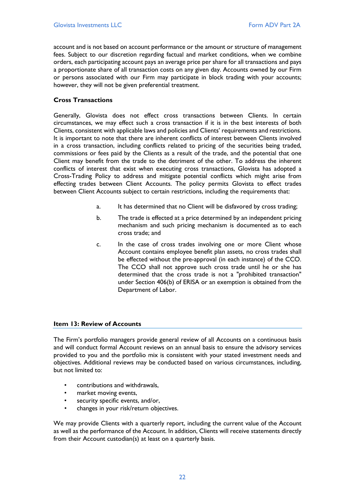account and is not based on account performance or the amount or structure of management fees. Subject to our discretion regarding factual and market conditions, when we combine orders, each participating account pays an average price per share for all transactions and pays a proportionate share of all transaction costs on any given day. Accounts owned by our Firm or persons associated with our Firm may participate in block trading with your accounts; however, they will not be given preferential treatment.

# **Cross Transactions**

Generally, Glovista does not effect cross transactions between Clients. In certain circumstances, we may effect such a cross transaction if it is in the best interests of both Clients, consistent with applicable laws and policies and Clients' requirements and restrictions. It is important to note that there are inherent conflicts of interest between Clients involved in a cross transaction, including conflicts related to pricing of the securities being traded, commissions or fees paid by the Clients as a result of the trade, and the potential that one Client may benefit from the trade to the detriment of the other. To address the inherent conflicts of interest that exist when executing cross transactions, Glovista has adopted a Cross-Trading Policy to address and mitigate potential conflicts which might arise from effecting trades between Client Accounts. The policy permits Glovista to effect trades between Client Accounts subject to certain restrictions, including the requirements that:

- a. It has determined that no Client will be disfavored by cross trading;
- b. The trade is effected at a price determined by an independent pricing mechanism and such pricing mechanism is documented as to each cross trade; and
- c. In the case of cross trades involving one or more Client whose Account contains employee benefit plan assets, no cross trades shall be effected without the pre-approval (in each instance) of the CCO. The CCO shall not approve such cross trade until he or she has determined that the cross trade is not a "prohibited transaction" under Section 406(b) of ERISA or an exemption is obtained from the Department of Labor.

# <span id="page-21-0"></span>**Item 13: Review of Accounts**

The Firm's portfolio managers provide general review of all Accounts on a continuous basis and will conduct formal Account reviews on an annual basis to ensure the advisory services provided to you and the portfolio mix is consistent with your stated investment needs and objectives. Additional reviews may be conducted based on various circumstances, including, but not limited to:

- contributions and withdrawals,
- market moving events,
- security specific events, and/or,
- changes in your risk/return objectives.

We may provide Clients with a quarterly report, including the current value of the Account as well as the performance of the Account. In addition, Clients will receive statements directly from their Account custodian(s) at least on a quarterly basis.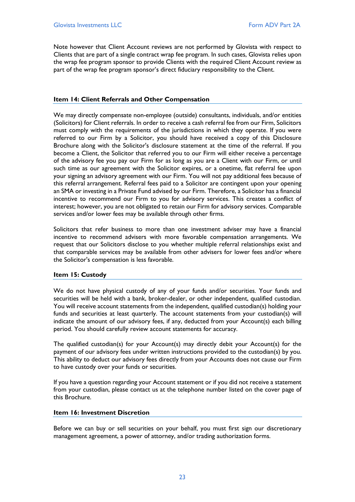Note however that Client Account reviews are not performed by Glovista with respect to Clients that are part of a single contract wrap fee program. In such cases, Glovista relies upon the wrap fee program sponsor to provide Clients with the required Client Account review as part of the wrap fee program sponsor's direct fiduciary responsibility to the Client.

# <span id="page-22-0"></span>**Item 14: Client Referrals and Other Compensation**

We may directly compensate non-employee (outside) consultants, individuals, and/or entities (Solicitors) for Client referrals. In order to receive a cash referral fee from our Firm, Solicitors must comply with the requirements of the jurisdictions in which they operate. If you were referred to our Firm by a Solicitor, you should have received a copy of this Disclosure Brochure along with the Solicitor's disclosure statement at the time of the referral. If you become a Client, the Solicitor that referred you to our Firm will either receive a percentage of the advisory fee you pay our Firm for as long as you are a Client with our Firm, or until such time as our agreement with the Solicitor expires, or a onetime, flat referral fee upon your signing an advisory agreement with our Firm. You will not pay additional fees because of this referral arrangement. Referral fees paid to a Solicitor are contingent upon your opening an SMA or investing in a Private Fund advised by our Firm. Therefore, a Solicitor has a financial incentive to recommend our Firm to you for advisory services. This creates a conflict of interest; however, you are not obligated to retain our Firm for advisory services. Comparable services and/or lower fees may be available through other firms.

Solicitors that refer business to more than one investment adviser may have a financial incentive to recommend advisers with more favorable compensation arrangements. We request that our Solicitors disclose to you whether multiple referral relationships exist and that comparable services may be available from other advisers for lower fees and/or where the Solicitor's compensation is less favorable.

# <span id="page-22-1"></span>**Item 15: Custody**

We do not have physical custody of any of your funds and/or securities. Your funds and securities will be held with a bank, broker-dealer, or other independent, qualified custodian. You will receive account statements from the independent, qualified custodian(s) holding your funds and securities at least quarterly. The account statements from your custodian(s) will indicate the amount of our advisory fees, if any, deducted from your Account(s) each billing period. You should carefully review account statements for accuracy.

The qualified custodian(s) for your Account(s) may directly debit your Account(s) for the payment of our advisory fees under written instructions provided to the custodian(s) by you. This ability to deduct our advisory fees directly from your Accounts does not cause our Firm to have custody over your funds or securities.

If you have a question regarding your Account statement or if you did not receive a statement from your custodian, please contact us at the telephone number listed on the cover page of this Brochure.

# <span id="page-22-2"></span>**Item 16: Investment Discretion**

Before we can buy or sell securities on your behalf, you must first sign our discretionary management agreement, a power of attorney, and/or trading authorization forms.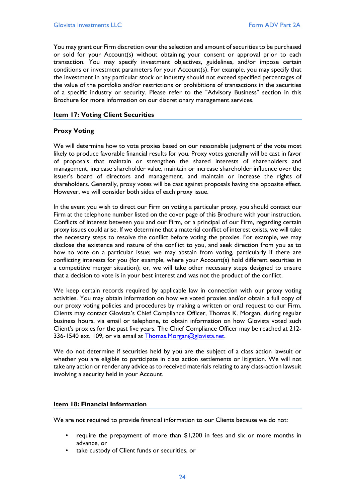You may grant our Firm discretion over the selection and amount of securities to be purchased or sold for your Account(s) without obtaining your consent or approval prior to each transaction. You may specify investment objectives, guidelines, and/or impose certain conditions or investment parameters for your Account(s). For example, you may specify that the investment in any particular stock or industry should not exceed specified percentages of the value of the portfolio and/or restrictions or prohibitions of transactions in the securities of a specific industry or security. Please refer to the "Advisory Business" section in this Brochure for more information on our discretionary management services.

#### <span id="page-23-0"></span>**Item 17: Voting Client Securities**

# **Proxy Voting**

We will determine how to vote proxies based on our reasonable judgment of the vote most likely to produce favorable financial results for you. Proxy votes generally will be cast in favor of proposals that maintain or strengthen the shared interests of shareholders and management, increase shareholder value, maintain or increase shareholder influence over the issuer's board of directors and management, and maintain or increase the rights of shareholders. Generally, proxy votes will be cast against proposals having the opposite effect. However, we will consider both sides of each proxy issue.

In the event you wish to direct our Firm on voting a particular proxy, you should contact our Firm at the telephone number listed on the cover page of this Brochure with your instruction. Conflicts of interest between you and our Firm, or a principal of our Firm, regarding certain proxy issues could arise. If we determine that a material conflict of interest exists, we will take the necessary steps to resolve the conflict before voting the proxies. For example, we may disclose the existence and nature of the conflict to you, and seek direction from you as to how to vote on a particular issue; we may abstain from voting, particularly if there are conflicting interests for you (for example, where your Account(s) hold different securities in a competitive merger situation); or, we will take other necessary steps designed to ensure that a decision to vote is in your best interest and was not the product of the conflict.

We keep certain records required by applicable law in connection with our proxy voting activities. You may obtain information on how we voted proxies and/or obtain a full copy of our proxy voting policies and procedures by making a written or oral request to our Firm. Clients may contact Glovista's Chief Compliance Officer, Thomas K. Morgan, during regular business hours, via email or telephone, to obtain information on how Glovista voted such Client's proxies for the past five years. The Chief Compliance Officer may be reached at 212- 336-1540 ext. 109, or via email at [Thomas.Morgan@glovista.net.](mailto:Thomas.Morgan@glovista.net)

We do not determine if securities held by you are the subject of a class action lawsuit or whether you are eligible to participate in class action settlements or litigation. We will not take any action or render any advice as to received materials relating to any class-action lawsuit involving a security held in your Account.

# <span id="page-23-1"></span>**Item 18: Financial Information**

We are not required to provide financial information to our Clients because we do not:

- require the prepayment of more than \$1,200 in fees and six or more months in advance, or
- take custody of Client funds or securities, or